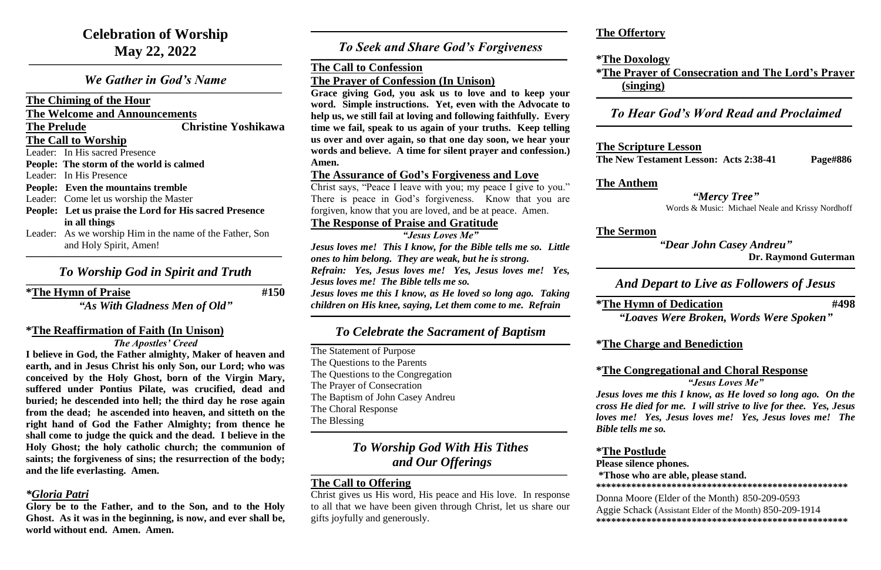*We Gather in God's Name*  $\mathcal{L}_\mathcal{L} = \mathcal{L}_\mathcal{L} = \mathcal{L}_\mathcal{L} = \mathcal{L}_\mathcal{L} = \mathcal{L}_\mathcal{L} = \mathcal{L}_\mathcal{L} = \mathcal{L}_\mathcal{L} = \mathcal{L}_\mathcal{L} = \mathcal{L}_\mathcal{L} = \mathcal{L}_\mathcal{L} = \mathcal{L}_\mathcal{L} = \mathcal{L}_\mathcal{L} = \mathcal{L}_\mathcal{L} = \mathcal{L}_\mathcal{L} = \mathcal{L}_\mathcal{L} = \mathcal{L}_\mathcal{L} = \mathcal{L}_\mathcal{L}$ 

**\_\_\_\_\_\_\_\_\_\_\_\_\_\_\_\_\_\_\_\_\_\_\_\_\_\_\_\_\_\_\_\_\_\_\_\_\_\_\_\_\_\_\_\_\_\_\_\_\_\_\_\_\_\_\_\_\_\_\_\_\_\_\_\_\_\_\_\_\_\_\_\_\_\_\_\_\_\_\_\_\_\_\_\_\_\_\_\_**

**The Chiming of the Hour**

**The Welcome and Announcements**

**The Prelude Christine Yoshikawa**

**The Call to Worship**

Leader: In His sacred Presence

### *To Worship God in Spirit and Truth*  $\mathcal{L}_\mathcal{L} = \mathcal{L}_\mathcal{L} = \mathcal{L}_\mathcal{L} = \mathcal{L}_\mathcal{L} = \mathcal{L}_\mathcal{L} = \mathcal{L}_\mathcal{L} = \mathcal{L}_\mathcal{L} = \mathcal{L}_\mathcal{L} = \mathcal{L}_\mathcal{L} = \mathcal{L}_\mathcal{L} = \mathcal{L}_\mathcal{L} = \mathcal{L}_\mathcal{L} = \mathcal{L}_\mathcal{L} = \mathcal{L}_\mathcal{L} = \mathcal{L}_\mathcal{L} = \mathcal{L}_\mathcal{L} = \mathcal{L}_\mathcal{L}$

**People: The storm of the world is calmed**

Leader: In His Presence

**People: Even the mountains tremble**

Leader: Come let us worship the Master

- **People: Let us praise the Lord for His sacred Presence in all things**
- Leader: As we worship Him in the name of the Father, Son and Holy Spirit, Amen! **\_\_\_\_\_\_\_\_\_\_\_\_\_\_\_\_\_\_\_\_\_\_\_\_\_\_\_\_\_\_\_\_\_\_\_\_\_\_\_\_\_\_\_\_\_\_\_\_\_\_\_\_\_\_\_\_\_\_\_\_\_\_\_\_\_\_\_\_\_\_\_\_\_\_\_\_\_\_\_\_\_\_\_\_\_\_\_\_\_**

**\*The Hymn of Praise #150**

*"As With Gladness Men of Old"*

## *To Seek and Share God's Forgiveness*  $\mathcal{L}_\mathcal{L} = \mathcal{L}_\mathcal{L} = \mathcal{L}_\mathcal{L} = \mathcal{L}_\mathcal{L} = \mathcal{L}_\mathcal{L} = \mathcal{L}_\mathcal{L} = \mathcal{L}_\mathcal{L} = \mathcal{L}_\mathcal{L} = \mathcal{L}_\mathcal{L} = \mathcal{L}_\mathcal{L} = \mathcal{L}_\mathcal{L} = \mathcal{L}_\mathcal{L} = \mathcal{L}_\mathcal{L} = \mathcal{L}_\mathcal{L} = \mathcal{L}_\mathcal{L} = \mathcal{L}_\mathcal{L} = \mathcal{L}_\mathcal{L}$

## **\*The Reaffirmation of Faith (In Unison)**

*The Apostles' Creed*

**I believe in God, the Father almighty, Maker of heaven and earth, and in Jesus Christ his only Son, our Lord; who was conceived by the Holy Ghost, born of the Virgin Mary, suffered under Pontius Pilate, was crucified, dead and buried; he descended into hell; the third day he rose again from the dead; he ascended into heaven, and sitteth on the right hand of God the Father Almighty; from thence he shall come to judge the quick and the dead. I believe in the Holy Ghost; the holy catholic church; the communion of saints; the forgiveness of sins; the resurrection of the body; and the life everlasting. Amen.**

## *\*Gloria Patri*

**Glory be to the Father, and to the Son, and to the Holy Ghost. As it was in the beginning, is now, and ever shall be, world without end. Amen. Amen.**

## *To Worship God With His Tithes and Our Offerings*  $\mathcal{L}_\mathcal{L} = \mathcal{L}_\mathcal{L} = \mathcal{L}_\mathcal{L} = \mathcal{L}_\mathcal{L} = \mathcal{L}_\mathcal{L} = \mathcal{L}_\mathcal{L} = \mathcal{L}_\mathcal{L} = \mathcal{L}_\mathcal{L} = \mathcal{L}_\mathcal{L} = \mathcal{L}_\mathcal{L} = \mathcal{L}_\mathcal{L} = \mathcal{L}_\mathcal{L} = \mathcal{L}_\mathcal{L} = \mathcal{L}_\mathcal{L} = \mathcal{L}_\mathcal{L} = \mathcal{L}_\mathcal{L} = \mathcal{L}_\mathcal{L}$

**\_\_\_\_\_\_\_\_\_\_\_\_\_\_\_\_\_\_\_\_\_\_\_\_\_\_\_\_\_\_\_\_\_\_\_\_\_\_\_\_\_\_\_\_\_\_\_\_\_\_\_\_\_\_\_\_\_\_\_\_\_\_\_\_\_\_\_\_\_\_\_\_\_\_\_\_\_\_\_\_\_\_\_\_\_\_\_\_\_**

## **The Call to Confession**

**The Prayer of Confession (In Unison)**

**Grace giving God, you ask us to love and to keep your word. Simple instructions. Yet, even with the Advocate to help us, we still fail at loving and following faithfully. Every time we fail, speak to us again of your truths. Keep telling us over and over again, so that one day soon, we hear your words and believe. A time for silent prayer and confession.) Amen.**

## **The Assurance of God's Forgiveness and Love**

Christ says, "Peace I leave with you; my peace I give to you." There is peace in God's forgiveness. Know that you are forgiven, know that you are loved, and be at peace. Amen.

## **The Response of Praise and Gratitude**

*"Jesus Loves Me"*

*Jesus loves me! This I know, for the Bible tells me so. Little ones to him belong. They are weak, but he is strong. Refrain: Yes, Jesus loves me! Yes, Jesus loves me! Yes, Jesus loves me! The Bible tells me so. Jesus loves me this I know, as He loved so long ago. Taking children on His knee, saying, Let them come to me. Refrain*

**\_\_\_\_\_\_\_\_\_\_\_\_\_\_\_\_\_\_\_\_\_\_\_\_\_\_\_\_\_\_\_\_\_\_\_\_\_\_\_\_\_\_\_\_\_\_\_\_\_\_\_\_\_\_\_\_\_\_\_\_\_\_\_\_\_\_\_\_\_\_\_\_\_\_\_\_\_\_\_\_\_\_\_\_\_\_\_\_\_\_**

## *To Celebrate the Sacrament of Baptism*

**\_\_\_\_\_\_\_\_\_\_\_\_\_\_\_\_\_\_\_\_\_\_\_\_\_\_\_\_\_\_\_\_\_\_\_\_\_\_\_\_\_\_\_\_\_\_\_\_\_\_\_\_\_\_\_\_\_\_\_\_\_\_\_\_\_\_\_\_\_\_\_\_\_\_\_\_\_\_\_\_\_\_\_\_\_\_\_\_\_\_** The Statement of Purpose The Questions to the Parents The Questions to the Congregation The Prayer of Consecration The Baptism of John Casey Andreu The Choral Response The Blessing **\_\_\_\_\_\_\_\_\_\_\_\_\_\_\_\_\_\_\_\_\_\_\_\_\_\_\_\_\_\_\_\_\_\_\_\_\_\_\_\_\_\_\_\_\_\_\_\_\_\_\_\_\_\_\_\_\_\_\_\_\_\_\_\_\_\_\_\_\_\_\_\_\_\_\_\_\_\_\_\_\_\_\_\_\_\_\_\_\_**

## **The Call to Offering**

Christ gives us His word, His peace and His love. In response to all that we have been given through Christ, let us share our gifts joyfully and generously.

## **The Offertory**

**\*The Doxology (singing)**

## **\*The Prayer of Consecration and The Lord's Prayer \_\_\_\_\_\_\_\_\_\_\_\_\_\_\_\_\_\_\_\_\_\_\_\_\_\_\_\_\_\_\_\_\_\_\_\_\_\_\_\_\_\_\_\_\_\_\_\_\_\_\_\_\_\_\_\_\_\_\_\_\_\_\_\_\_\_\_\_\_\_\_\_\_\_\_\_\_\_\_\_\_\_\_\_\_\_\_\_\_**

## *To Hear God's Word Read and Proclaimed*

## **The Scripture Lesson**

**The New Testament Lesson: Acts 2:38-41** Page#886

**The Anthem**

*"Mercy Tree"*

Words & Music: Michael Neale and Krissy Nordhoff

## **The Sermon**

*"Dear John Casey Andreu"*  **Dr. Raymond Guterman**

**\_\_\_\_\_\_\_\_\_\_\_\_\_\_\_\_\_\_\_\_\_\_\_\_\_\_\_\_\_\_\_\_\_\_\_\_\_\_\_\_\_\_\_\_\_\_\_\_\_\_\_\_\_\_\_\_\_\_\_\_\_\_\_\_\_\_\_\_\_\_\_\_\_\_\_\_\_\_\_\_\_\_\_\_\_\_\_\_\_\_**

*And Depart to Live as Followers of Jesus*

**\_\_\_\_\_\_\_\_\_\_\_\_\_\_\_\_\_\_\_\_\_\_\_\_\_\_\_\_\_\_\_\_\_\_\_\_\_\_\_\_\_\_\_\_\_\_\_\_\_\_\_\_\_\_\_\_\_\_\_\_\_\_\_\_\_\_\_\_\_\_\_\_\_\_\_\_\_\_\_\_\_\_\_\_\_\_\_\_\_\_**

 $\mathcal{L}_\mathcal{L} = \mathcal{L}_\mathcal{L} = \mathcal{L}_\mathcal{L} = \mathcal{L}_\mathcal{L} = \mathcal{L}_\mathcal{L} = \mathcal{L}_\mathcal{L} = \mathcal{L}_\mathcal{L} = \mathcal{L}_\mathcal{L} = \mathcal{L}_\mathcal{L} = \mathcal{L}_\mathcal{L} = \mathcal{L}_\mathcal{L} = \mathcal{L}_\mathcal{L} = \mathcal{L}_\mathcal{L} = \mathcal{L}_\mathcal{L} = \mathcal{L}_\mathcal{L} = \mathcal{L}_\mathcal{L} = \mathcal{L}_\mathcal{L}$ 

**\*The Hymn of Dedication #498**

*"Loaves Were Broken, Words Were Spoken"*

## **\*The Charge and Benediction**

## **\*The Congregational and Choral Response**

*"Jesus Loves Me"*

*Jesus loves me this I know, as He loved so long ago. On the cross He died for me. I will strive to live for thee. Yes, Jesus loves me! Yes, Jesus loves me! Yes, Jesus loves me! The Bible tells me so.*

**\*The Postlude Please silence phones.** 

# **\*Those who are able, please stand.**

**\*\*\*\*\*\*\*\*\*\*\*\*\*\*\*\*\*\*\*\*\*\*\*\*\*\*\*\*\*\*\*\*\*\*\*\*\*\*\*\*\*\*\*\*\*\*\*\*\*\***

Donna Moore (Elder of the Month) 850-209-0593 Aggie Schack (Assistant Elder of the Month) 850-209-1914 **\*\*\*\*\*\*\*\*\*\*\*\*\*\*\*\*\*\*\*\*\*\*\*\*\*\*\*\*\*\*\*\*\*\*\*\*\*\*\*\*\*\*\*\*\*\*\*\*\*\***